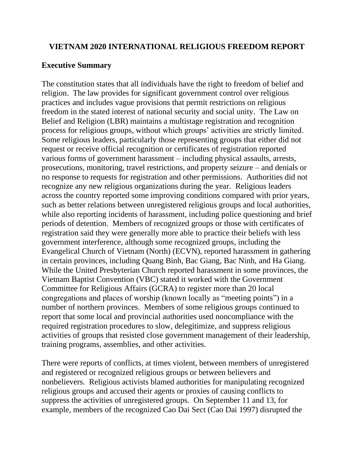# **VIETNAM 2020 INTERNATIONAL RELIGIOUS FREEDOM REPORT**

# **Executive Summary**

The constitution states that all individuals have the right to freedom of belief and religion. The law provides for significant government control over religious practices and includes vague provisions that permit restrictions on religious freedom in the stated interest of national security and social unity. The Law on Belief and Religion (LBR) maintains a multistage registration and recognition process for religious groups, without which groups' activities are strictly limited. Some religious leaders, particularly those representing groups that either did not request or receive official recognition or certificates of registration reported various forms of government harassment – including physical assaults, arrests, prosecutions, monitoring, travel restrictions, and property seizure – and denials or no response to requests for registration and other permissions. Authorities did not recognize any new religious organizations during the year. Religious leaders across the country reported some improving conditions compared with prior years, such as better relations between unregistered religious groups and local authorities, while also reporting incidents of harassment, including police questioning and brief periods of detention. Members of recognized groups or those with certificates of registration said they were generally more able to practice their beliefs with less government interference, although some recognized groups, including the Evangelical Church of Vietnam (North) (ECVN), reported harassment in gathering in certain provinces, including Quang Binh, Bac Giang, Bac Ninh, and Ha Giang. While the United Presbyterian Church reported harassment in some provinces, the Vietnam Baptist Convention (VBC) stated it worked with the Government Committee for Religious Affairs (GCRA) to register more than 20 local congregations and places of worship (known locally as "meeting points") in a number of northern provinces. Members of some religious groups continued to report that some local and provincial authorities used noncompliance with the required registration procedures to slow, delegitimize, and suppress religious activities of groups that resisted close government management of their leadership, training programs, assemblies, and other activities.

There were reports of conflicts, at times violent, between members of unregistered and registered or recognized religious groups or between believers and nonbelievers. Religious activists blamed authorities for manipulating recognized religious groups and accused their agents or proxies of causing conflicts to suppress the activities of unregistered groups. On September 11 and 13, for example, members of the recognized Cao Dai Sect (Cao Dai 1997) disrupted the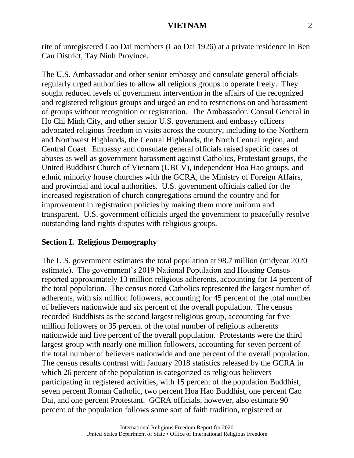rite of unregistered Cao Dai members (Cao Dai 1926) at a private residence in Ben Cau District, Tay Ninh Province.

The U.S. Ambassador and other senior embassy and consulate general officials regularly urged authorities to allow all religious groups to operate freely. They sought reduced levels of government intervention in the affairs of the recognized and registered religious groups and urged an end to restrictions on and harassment of groups without recognition or registration. The Ambassador, Consul General in Ho Chi Minh City, and other senior U.S. government and embassy officers advocated religious freedom in visits across the country, including to the Northern and Northwest Highlands, the Central Highlands, the North Central region, and Central Coast. Embassy and consulate general officials raised specific cases of abuses as well as government harassment against Catholics, Protestant groups, the United Buddhist Church of Vietnam (UBCV), independent Hoa Hao groups, and ethnic minority house churches with the GCRA, the Ministry of Foreign Affairs, and provincial and local authorities. U.S. government officials called for the increased registration of church congregations around the country and for improvement in registration policies by making them more uniform and transparent. U.S. government officials urged the government to peacefully resolve outstanding land rights disputes with religious groups.

#### **Section I. Religious Demography**

The U.S. government estimates the total population at 98.7 million (midyear 2020 estimate). The government's 2019 National Population and Housing Census reported approximately 13 million religious adherents, accounting for 14 percent of the total population. The census noted Catholics represented the largest number of adherents, with six million followers, accounting for 45 percent of the total number of believers nationwide and six percent of the overall population. The census recorded Buddhists as the second largest religious group, accounting for five million followers or 35 percent of the total number of religious adherents nationwide and five percent of the overall population. Protestants were the third largest group with nearly one million followers, accounting for seven percent of the total number of believers nationwide and one percent of the overall population. The census results contrast with January 2018 statistics released by the GCRA in which 26 percent of the population is categorized as religious believers participating in registered activities, with 15 percent of the population Buddhist, seven percent Roman Catholic, two percent Hoa Hao Buddhist, one percent Cao Dai, and one percent Protestant. GCRA officials, however, also estimate 90 percent of the population follows some sort of faith tradition, registered or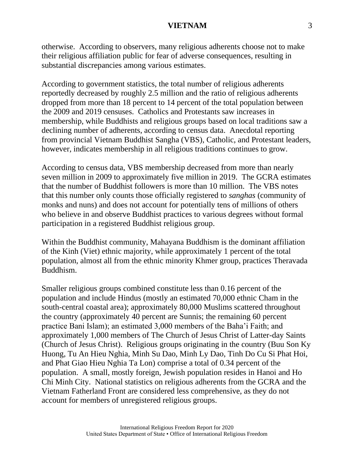otherwise. According to observers, many religious adherents choose not to make their religious affiliation public for fear of adverse consequences, resulting in substantial discrepancies among various estimates.

According to government statistics, the total number of religious adherents reportedly decreased by roughly 2.5 million and the ratio of religious adherents dropped from more than 18 percent to 14 percent of the total population between the 2009 and 2019 censuses. Catholics and Protestants saw increases in membership, while Buddhists and religious groups based on local traditions saw a declining number of adherents, according to census data. Anecdotal reporting from provincial Vietnam Buddhist Sangha (VBS), Catholic, and Protestant leaders, however, indicates membership in all religious traditions continues to grow.

According to census data, VBS membership decreased from more than nearly seven million in 2009 to approximately five million in 2019. The GCRA estimates that the number of Buddhist followers is more than 10 million. The VBS notes that this number only counts those officially registered to *sanghas* (community of monks and nuns) and does not account for potentially tens of millions of others who believe in and observe Buddhist practices to various degrees without formal participation in a registered Buddhist religious group.

Within the Buddhist community, Mahayana Buddhism is the dominant affiliation of the Kinh (Viet) ethnic majority, while approximately 1 percent of the total population, almost all from the ethnic minority Khmer group, practices Theravada Buddhism.

Smaller religious groups combined constitute less than 0.16 percent of the population and include Hindus (mostly an estimated 70,000 ethnic Cham in the south-central coastal area); approximately 80,000 Muslims scattered throughout the country (approximately 40 percent are Sunnis; the remaining 60 percent practice Bani Islam); an estimated 3,000 members of the Baha'i Faith; and approximately 1,000 members of The Church of Jesus Christ of Latter-day Saints (Church of Jesus Christ). Religious groups originating in the country (Buu Son Ky Huong, Tu An Hieu Nghia, Minh Su Dao, Minh Ly Dao, Tinh Do Cu Si Phat Hoi, and Phat Giao Hieu Nghia Ta Lon) comprise a total of 0.34 percent of the population. A small, mostly foreign, Jewish population resides in Hanoi and Ho Chi Minh City. National statistics on religious adherents from the GCRA and the Vietnam Fatherland Front are considered less comprehensive, as they do not account for members of unregistered religious groups.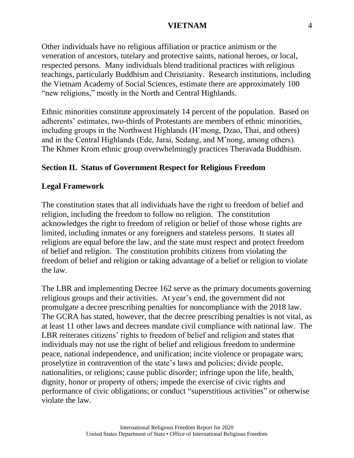Other individuals have no religious affiliation or practice animism or the veneration of ancestors, tutelary and protective saints, national heroes, or local, respected persons. Many individuals blend traditional practices with religious teachings, particularly Buddhism and Christianity. Research institutions, including the Vietnam Academy of Social Sciences, estimate there are approximately 100 "new religions," mostly in the North and Central Highlands.

Ethnic minorities constitute approximately 14 percent of the population. Based on adherents' estimates, two-thirds of Protestants are members of ethnic minorities, including groups in the Northwest Highlands (H'mong, Dzao, Thai, and others) and in the Central Highlands (Ede, Jarai, Sedang, and M'nong, among others). The Khmer Krom ethnic group overwhelmingly practices Theravada Buddhism.

## **Section II. Status of Government Respect for Religious Freedom**

#### **Legal Framework**

The constitution states that all individuals have the right to freedom of belief and religion, including the freedom to follow no religion. The constitution acknowledges the right to freedom of religion or belief of those whose rights are limited, including inmates or any foreigners and stateless persons. It states all religions are equal before the law, and the state must respect and protect freedom of belief and religion. The constitution prohibits citizens from violating the freedom of belief and religion or taking advantage of a belief or religion to violate the law.

The LBR and implementing Decree 162 serve as the primary documents governing religious groups and their activities. At year's end, the government did not promulgate a decree prescribing penalties for noncompliance with the 2018 law. The GCRA has stated, however, that the decree prescribing penalties is not vital, as at least 11 other laws and decrees mandate civil compliance with national law. The LBR reiterates citizens' rights to freedom of belief and religion and states that individuals may not use the right of belief and religious freedom to undermine peace, national independence, and unification; incite violence or propagate wars; proselytize in contravention of the state's laws and policies; divide people, nationalities, or religions; cause public disorder; infringe upon the life, health, dignity, honor or property of others; impede the exercise of civic rights and performance of civic obligations; or conduct "superstitious activities" or otherwise violate the law.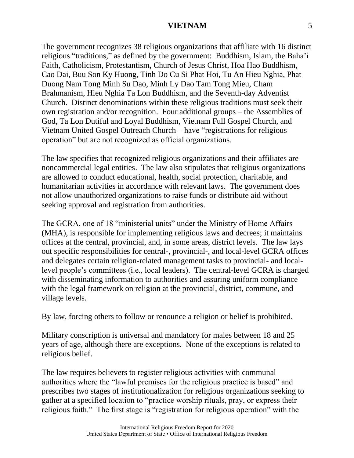The government recognizes 38 religious organizations that affiliate with 16 distinct religious "traditions," as defined by the government: Buddhism, Islam, the Baha'i Faith, Catholicism, Protestantism, Church of Jesus Christ, Hoa Hao Buddhism, Cao Dai, Buu Son Ky Huong, Tinh Do Cu Si Phat Hoi, Tu An Hieu Nghia, Phat Duong Nam Tong Minh Su Dao, Minh Ly Dao Tam Tong Mieu, Cham Brahmanism, Hieu Nghia Ta Lon Buddhism, and the Seventh-day Adventist Church. Distinct denominations within these religious traditions must seek their own registration and/or recognition. Four additional groups – the Assemblies of God, Ta Lon Dutiful and Loyal Buddhism, Vietnam Full Gospel Church, and Vietnam United Gospel Outreach Church – have "registrations for religious operation" but are not recognized as official organizations.

The law specifies that recognized religious organizations and their affiliates are noncommercial legal entities. The law also stipulates that religious organizations are allowed to conduct educational, health, social protection, charitable, and humanitarian activities in accordance with relevant laws. The government does not allow unauthorized organizations to raise funds or distribute aid without seeking approval and registration from authorities.

The GCRA, one of 18 "ministerial units" under the Ministry of Home Affairs (MHA), is responsible for implementing religious laws and decrees; it maintains offices at the central, provincial, and, in some areas, district levels. The law lays out specific responsibilities for central-, provincial-, and local-level GCRA offices and delegates certain religion-related management tasks to provincial- and locallevel people's committees (i.e., local leaders). The central-level GCRA is charged with disseminating information to authorities and assuring uniform compliance with the legal framework on religion at the provincial, district, commune, and village levels.

By law, forcing others to follow or renounce a religion or belief is prohibited.

Military conscription is universal and mandatory for males between 18 and 25 years of age, although there are exceptions. None of the exceptions is related to religious belief.

The law requires believers to register religious activities with communal authorities where the "lawful premises for the religious practice is based" and prescribes two stages of institutionalization for religious organizations seeking to gather at a specified location to "practice worship rituals, pray, or express their religious faith." The first stage is "registration for religious operation" with the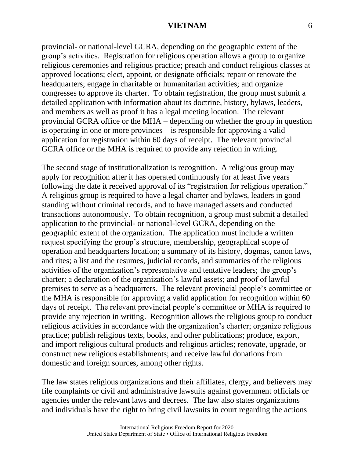provincial- or national-level GCRA, depending on the geographic extent of the group's activities. Registration for religious operation allows a group to organize religious ceremonies and religious practice; preach and conduct religious classes at approved locations; elect, appoint, or designate officials; repair or renovate the headquarters; engage in charitable or humanitarian activities; and organize congresses to approve its charter. To obtain registration, the group must submit a detailed application with information about its doctrine, history, bylaws, leaders, and members as well as proof it has a legal meeting location. The relevant provincial GCRA office or the MHA – depending on whether the group in question is operating in one or more provinces – is responsible for approving a valid application for registration within 60 days of receipt. The relevant provincial GCRA office or the MHA is required to provide any rejection in writing.

The second stage of institutionalization is recognition. A religious group may apply for recognition after it has operated continuously for at least five years following the date it received approval of its "registration for religious operation." A religious group is required to have a legal charter and bylaws, leaders in good standing without criminal records, and to have managed assets and conducted transactions autonomously. To obtain recognition, a group must submit a detailed application to the provincial- or national-level GCRA, depending on the geographic extent of the organization. The application must include a written request specifying the group's structure, membership, geographical scope of operation and headquarters location; a summary of its history, dogmas, canon laws, and rites; a list and the resumes, judicial records, and summaries of the religious activities of the organization's representative and tentative leaders; the group's charter; a declaration of the organization's lawful assets; and proof of lawful premises to serve as a headquarters. The relevant provincial people's committee or the MHA is responsible for approving a valid application for recognition within 60 days of receipt. The relevant provincial people's committee or MHA is required to provide any rejection in writing. Recognition allows the religious group to conduct religious activities in accordance with the organization's charter; organize religious practice; publish religious texts, books, and other publications; produce, export, and import religious cultural products and religious articles; renovate, upgrade, or construct new religious establishments; and receive lawful donations from domestic and foreign sources, among other rights.

The law states religious organizations and their affiliates, clergy, and believers may file complaints or civil and administrative lawsuits against government officials or agencies under the relevant laws and decrees. The law also states organizations and individuals have the right to bring civil lawsuits in court regarding the actions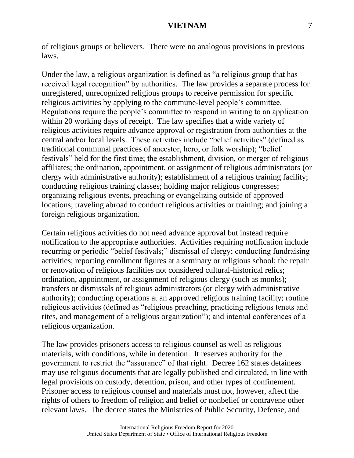of religious groups or believers. There were no analogous provisions in previous laws.

Under the law, a religious organization is defined as "a religious group that has received legal recognition" by authorities. The law provides a separate process for unregistered, unrecognized religious groups to receive permission for specific religious activities by applying to the commune-level people's committee. Regulations require the people's committee to respond in writing to an application within 20 working days of receipt. The law specifies that a wide variety of religious activities require advance approval or registration from authorities at the central and/or local levels. These activities include "belief activities" (defined as traditional communal practices of ancestor, hero, or folk worship); "belief festivals" held for the first time; the establishment, division, or merger of religious affiliates; the ordination, appointment, or assignment of religious administrators (or clergy with administrative authority); establishment of a religious training facility; conducting religious training classes; holding major religious congresses; organizing religious events, preaching or evangelizing outside of approved locations; traveling abroad to conduct religious activities or training; and joining a foreign religious organization.

Certain religious activities do not need advance approval but instead require notification to the appropriate authorities. Activities requiring notification include recurring or periodic "belief festivals;" dismissal of clergy; conducting fundraising activities; reporting enrollment figures at a seminary or religious school; the repair or renovation of religious facilities not considered cultural-historical relics; ordination, appointment, or assignment of religious clergy (such as monks); transfers or dismissals of religious administrators (or clergy with administrative authority); conducting operations at an approved religious training facility; routine religious activities (defined as "religious preaching, practicing religious tenets and rites, and management of a religious organization"); and internal conferences of a religious organization.

The law provides prisoners access to religious counsel as well as religious materials, with conditions, while in detention. It reserves authority for the government to restrict the "assurance" of that right. Decree 162 states detainees may use religious documents that are legally published and circulated, in line with legal provisions on custody, detention, prison, and other types of confinement. Prisoner access to religious counsel and materials must not, however, affect the rights of others to freedom of religion and belief or nonbelief or contravene other relevant laws. The decree states the Ministries of Public Security, Defense, and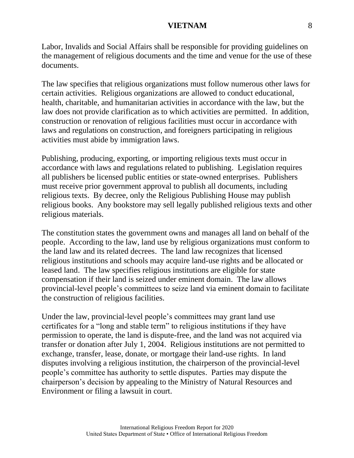Labor, Invalids and Social Affairs shall be responsible for providing guidelines on the management of religious documents and the time and venue for the use of these documents.

The law specifies that religious organizations must follow numerous other laws for certain activities. Religious organizations are allowed to conduct educational, health, charitable, and humanitarian activities in accordance with the law, but the law does not provide clarification as to which activities are permitted. In addition, construction or renovation of religious facilities must occur in accordance with laws and regulations on construction, and foreigners participating in religious activities must abide by immigration laws.

Publishing, producing, exporting, or importing religious texts must occur in accordance with laws and regulations related to publishing. Legislation requires all publishers be licensed public entities or state-owned enterprises. Publishers must receive prior government approval to publish all documents, including religious texts. By decree, only the Religious Publishing House may publish religious books. Any bookstore may sell legally published religious texts and other religious materials.

The constitution states the government owns and manages all land on behalf of the people. According to the law, land use by religious organizations must conform to the land law and its related decrees. The land law recognizes that licensed religious institutions and schools may acquire land-use rights and be allocated or leased land. The law specifies religious institutions are eligible for state compensation if their land is seized under eminent domain. The law allows provincial-level people's committees to seize land via eminent domain to facilitate the construction of religious facilities.

Under the law, provincial-level people's committees may grant land use certificates for a "long and stable term" to religious institutions if they have permission to operate, the land is dispute-free, and the land was not acquired via transfer or donation after July 1, 2004. Religious institutions are not permitted to exchange, transfer, lease, donate, or mortgage their land-use rights. In land disputes involving a religious institution, the chairperson of the provincial-level people's committee has authority to settle disputes. Parties may dispute the chairperson's decision by appealing to the Ministry of Natural Resources and Environment or filing a lawsuit in court.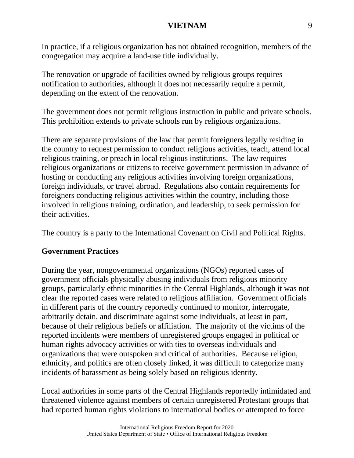In practice, if a religious organization has not obtained recognition, members of the congregation may acquire a land-use title individually.

The renovation or upgrade of facilities owned by religious groups requires notification to authorities, although it does not necessarily require a permit, depending on the extent of the renovation.

The government does not permit religious instruction in public and private schools. This prohibition extends to private schools run by religious organizations.

There are separate provisions of the law that permit foreigners legally residing in the country to request permission to conduct religious activities, teach, attend local religious training, or preach in local religious institutions. The law requires religious organizations or citizens to receive government permission in advance of hosting or conducting any religious activities involving foreign organizations, foreign individuals, or travel abroad. Regulations also contain requirements for foreigners conducting religious activities within the country, including those involved in religious training, ordination, and leadership, to seek permission for their activities.

The country is a party to the International Covenant on Civil and Political Rights.

## **Government Practices**

During the year, nongovernmental organizations (NGOs) reported cases of government officials physically abusing individuals from religious minority groups, particularly ethnic minorities in the Central Highlands, although it was not clear the reported cases were related to religious affiliation. Government officials in different parts of the country reportedly continued to monitor, interrogate, arbitrarily detain, and discriminate against some individuals, at least in part, because of their religious beliefs or affiliation. The majority of the victims of the reported incidents were members of unregistered groups engaged in political or human rights advocacy activities or with ties to overseas individuals and organizations that were outspoken and critical of authorities. Because religion, ethnicity, and politics are often closely linked, it was difficult to categorize many incidents of harassment as being solely based on religious identity.

Local authorities in some parts of the Central Highlands reportedly intimidated and threatened violence against members of certain unregistered Protestant groups that had reported human rights violations to international bodies or attempted to force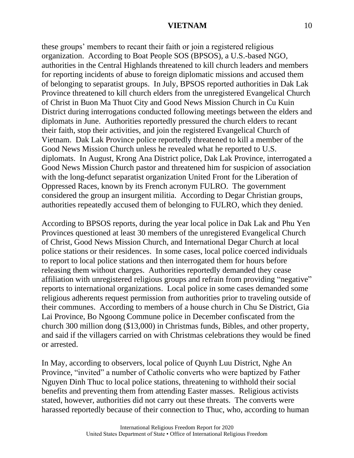these groups' members to recant their faith or join a registered religious organization. According to Boat People SOS (BPSOS), a U.S.-based NGO, authorities in the Central Highlands threatened to kill church leaders and members for reporting incidents of abuse to foreign diplomatic missions and accused them of belonging to separatist groups. In July, BPSOS reported authorities in Dak Lak Province threatened to kill church elders from the unregistered Evangelical Church of Christ in Buon Ma Thuot City and Good News Mission Church in Cu Kuin District during interrogations conducted following meetings between the elders and diplomats in June. Authorities reportedly pressured the church elders to recant their faith, stop their activities, and join the registered Evangelical Church of Vietnam. Dak Lak Province police reportedly threatened to kill a member of the Good News Mission Church unless he revealed what he reported to U.S. diplomats. In August, Krong Ana District police, Dak Lak Province, interrogated a Good News Mission Church pastor and threatened him for suspicion of association with the long-defunct separatist organization United Front for the Liberation of Oppressed Races, known by its French acronym FULRO. The government considered the group an insurgent militia. According to Degar Christian groups, authorities repeatedly accused them of belonging to FULRO, which they denied.

According to BPSOS reports, during the year local police in Dak Lak and Phu Yen Provinces questioned at least 30 members of the unregistered Evangelical Church of Christ, Good News Mission Church, and International Degar Church at local police stations or their residences. In some cases, local police coerced individuals to report to local police stations and then interrogated them for hours before releasing them without charges. Authorities reportedly demanded they cease affiliation with unregistered religious groups and refrain from providing "negative" reports to international organizations. Local police in some cases demanded some religious adherents request permission from authorities prior to traveling outside of their communes. According to members of a house church in Chu Se District, Gia Lai Province, Bo Ngoong Commune police in December confiscated from the church 300 million dong (\$13,000) in Christmas funds, Bibles, and other property, and said if the villagers carried on with Christmas celebrations they would be fined or arrested.

In May, according to observers, local police of Quynh Luu District, Nghe An Province, "invited" a number of Catholic converts who were baptized by Father Nguyen Dinh Thuc to local police stations, threatening to withhold their social benefits and preventing them from attending Easter masses. Religious activists stated, however, authorities did not carry out these threats. The converts were harassed reportedly because of their connection to Thuc, who, according to human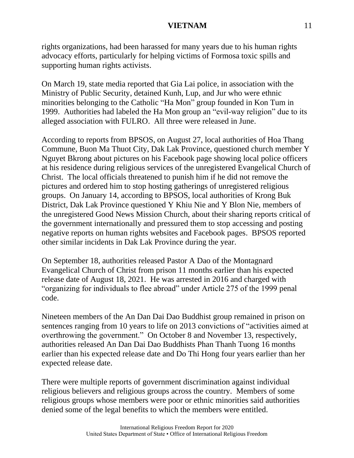rights organizations, had been harassed for many years due to his human rights advocacy efforts, particularly for helping victims of Formosa toxic spills and supporting human rights activists.

On March 19, state media reported that Gia Lai police, in association with the Ministry of Public Security, detained Kunh, Lup, and Jur who were ethnic minorities belonging to the Catholic "Ha Mon" group founded in Kon Tum in 1999. Authorities had labeled the Ha Mon group an "evil-way religion" due to its alleged association with FULRO. All three were released in June.

According to reports from BPSOS, on August 27, local authorities of Hoa Thang Commune, Buon Ma Thuot City, Dak Lak Province, questioned church member Y Nguyet Bkrong about pictures on his Facebook page showing local police officers at his residence during religious services of the unregistered Evangelical Church of Christ. The local officials threatened to punish him if he did not remove the pictures and ordered him to stop hosting gatherings of unregistered religious groups. On January 14, according to BPSOS, local authorities of Krong Buk District, Dak Lak Province questioned Y Khiu Nie and Y Blon Nie, members of the unregistered Good News Mission Church, about their sharing reports critical of the government internationally and pressured them to stop accessing and posting negative reports on human rights websites and Facebook pages. BPSOS reported other similar incidents in Dak Lak Province during the year.

On September 18, authorities released Pastor A Dao of the Montagnard Evangelical Church of Christ from prison 11 months earlier than his expected release date of August 18, 2021. He was arrested in 2016 and charged with "organizing for individuals to flee abroad" under Article 275 of the 1999 penal code.

Nineteen members of the An Dan Dai Dao Buddhist group remained in prison on sentences ranging from 10 years to life on 2013 convictions of "activities aimed at overthrowing the government." On October 8 and November 13, respectively, authorities released An Dan Dai Dao Buddhists Phan Thanh Tuong 16 months earlier than his expected release date and Do Thi Hong four years earlier than her expected release date.

There were multiple reports of government discrimination against individual religious believers and religious groups across the country. Members of some religious groups whose members were poor or ethnic minorities said authorities denied some of the legal benefits to which the members were entitled.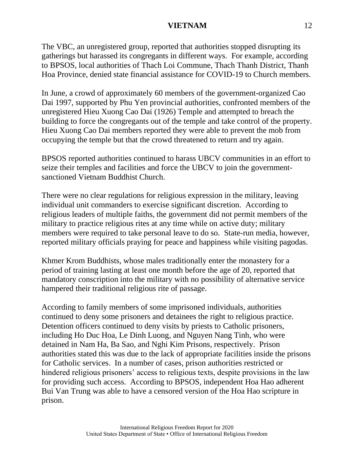The VBC, an unregistered group, reported that authorities stopped disrupting its gatherings but harassed its congregants in different ways. For example, according to BPSOS, local authorities of Thach Loi Commune, Thach Thanh District, Thanh Hoa Province, denied state financial assistance for COVID-19 to Church members.

In June, a crowd of approximately 60 members of the government-organized Cao Dai 1997, supported by Phu Yen provincial authorities, confronted members of the unregistered Hieu Xuong Cao Dai (1926) Temple and attempted to breach the building to force the congregants out of the temple and take control of the property. Hieu Xuong Cao Dai members reported they were able to prevent the mob from occupying the temple but that the crowd threatened to return and try again.

BPSOS reported authorities continued to harass UBCV communities in an effort to seize their temples and facilities and force the UBCV to join the governmentsanctioned Vietnam Buddhist Church.

There were no clear regulations for religious expression in the military, leaving individual unit commanders to exercise significant discretion. According to religious leaders of multiple faiths, the government did not permit members of the military to practice religious rites at any time while on active duty; military members were required to take personal leave to do so. State-run media, however, reported military officials praying for peace and happiness while visiting pagodas.

Khmer Krom Buddhists, whose males traditionally enter the monastery for a period of training lasting at least one month before the age of 20, reported that mandatory conscription into the military with no possibility of alternative service hampered their traditional religious rite of passage.

According to family members of some imprisoned individuals, authorities continued to deny some prisoners and detainees the right to religious practice. Detention officers continued to deny visits by priests to Catholic prisoners, including Ho Duc Hoa, Le Dinh Luong, and Nguyen Nang Tinh, who were detained in Nam Ha, Ba Sao, and Nghi Kim Prisons, respectively. Prison authorities stated this was due to the lack of appropriate facilities inside the prisons for Catholic services. In a number of cases, prison authorities restricted or hindered religious prisoners' access to religious texts, despite provisions in the law for providing such access. According to BPSOS, independent Hoa Hao adherent Bui Van Trung was able to have a censored version of the Hoa Hao scripture in prison.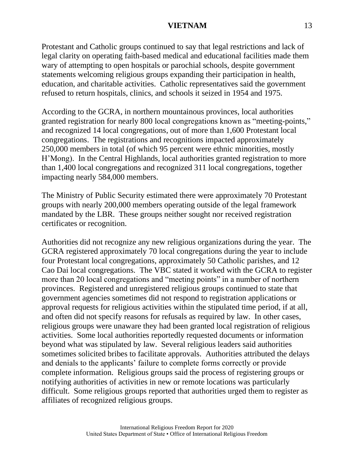Protestant and Catholic groups continued to say that legal restrictions and lack of legal clarity on operating faith-based medical and educational facilities made them wary of attempting to open hospitals or parochial schools, despite government statements welcoming religious groups expanding their participation in health, education, and charitable activities. Catholic representatives said the government refused to return hospitals, clinics, and schools it seized in 1954 and 1975.

According to the GCRA, in northern mountainous provinces, local authorities granted registration for nearly 800 local congregations known as "meeting-points," and recognized 14 local congregations, out of more than 1,600 Protestant local congregations. The registrations and recognitions impacted approximately 250,000 members in total (of which 95 percent were ethnic minorities, mostly H'Mong). In the Central Highlands, local authorities granted registration to more than 1,400 local congregations and recognized 311 local congregations, together impacting nearly 584,000 members.

The Ministry of Public Security estimated there were approximately 70 Protestant groups with nearly 200,000 members operating outside of the legal framework mandated by the LBR. These groups neither sought nor received registration certificates or recognition.

Authorities did not recognize any new religious organizations during the year. The GCRA registered approximately 70 local congregations during the year to include four Protestant local congregations, approximately 50 Catholic parishes, and 12 Cao Dai local congregations. The VBC stated it worked with the GCRA to register more than 20 local congregations and "meeting points" in a number of northern provinces. Registered and unregistered religious groups continued to state that government agencies sometimes did not respond to registration applications or approval requests for religious activities within the stipulated time period, if at all, and often did not specify reasons for refusals as required by law. In other cases, religious groups were unaware they had been granted local registration of religious activities. Some local authorities reportedly requested documents or information beyond what was stipulated by law. Several religious leaders said authorities sometimes solicited bribes to facilitate approvals. Authorities attributed the delays and denials to the applicants' failure to complete forms correctly or provide complete information. Religious groups said the process of registering groups or notifying authorities of activities in new or remote locations was particularly difficult. Some religious groups reported that authorities urged them to register as affiliates of recognized religious groups.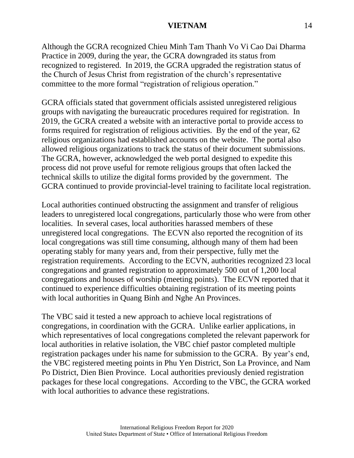Although the GCRA recognized Chieu Minh Tam Thanh Vo Vi Cao Dai Dharma Practice in 2009, during the year, the GCRA downgraded its status from recognized to registered. In 2019, the GCRA upgraded the registration status of the Church of Jesus Christ from registration of the church's representative committee to the more formal "registration of religious operation."

GCRA officials stated that government officials assisted unregistered religious groups with navigating the bureaucratic procedures required for registration. In 2019, the GCRA created a website with an interactive portal to provide access to forms required for registration of religious activities. By the end of the year, 62 religious organizations had established accounts on the website. The portal also allowed religious organizations to track the status of their document submissions. The GCRA, however, acknowledged the web portal designed to expedite this process did not prove useful for remote religious groups that often lacked the technical skills to utilize the digital forms provided by the government. The GCRA continued to provide provincial-level training to facilitate local registration.

Local authorities continued obstructing the assignment and transfer of religious leaders to unregistered local congregations, particularly those who were from other localities. In several cases, local authorities harassed members of these unregistered local congregations. The ECVN also reported the recognition of its local congregations was still time consuming, although many of them had been operating stably for many years and, from their perspective, fully met the registration requirements. According to the ECVN, authorities recognized 23 local congregations and granted registration to approximately 500 out of 1,200 local congregations and houses of worship (meeting points). The ECVN reported that it continued to experience difficulties obtaining registration of its meeting points with local authorities in Quang Binh and Nghe An Provinces.

The VBC said it tested a new approach to achieve local registrations of congregations, in coordination with the GCRA. Unlike earlier applications, in which representatives of local congregations completed the relevant paperwork for local authorities in relative isolation, the VBC chief pastor completed multiple registration packages under his name for submission to the GCRA. By year's end, the VBC registered meeting points in Phu Yen District, Son La Province, and Nam Po District, Dien Bien Province. Local authorities previously denied registration packages for these local congregations. According to the VBC, the GCRA worked with local authorities to advance these registrations.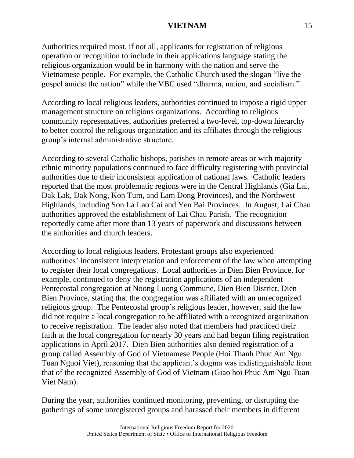Authorities required most, if not all, applicants for registration of religious operation or recognition to include in their applications language stating the religious organization would be in harmony with the nation and serve the Vietnamese people. For example, the Catholic Church used the slogan "live the gospel amidst the nation" while the VBC used "dharma, nation, and socialism."

According to local religious leaders, authorities continued to impose a rigid upper management structure on religious organizations. According to religious community representatives, authorities preferred a two-level, top-down hierarchy to better control the religious organization and its affiliates through the religious group's internal administrative structure.

According to several Catholic bishops, parishes in remote areas or with majority ethnic minority populations continued to face difficulty registering with provincial authorities due to their inconsistent application of national laws. Catholic leaders reported that the most problematic regions were in the Central Highlands (Gia Lai, Dak Lak, Dak Nong, Kon Tum, and Lam Dong Provinces), and the Northwest Highlands, including Son La Lao Cai and Yen Bai Provinces. In August, Lai Chau authorities approved the establishment of Lai Chau Parish. The recognition reportedly came after more than 13 years of paperwork and discussions between the authorities and church leaders.

According to local religious leaders, Protestant groups also experienced authorities' inconsistent interpretation and enforcement of the law when attempting to register their local congregations. Local authorities in Dien Bien Province, for example, continued to deny the registration applications of an independent Pentecostal congregation at Noong Luong Commune, Dien Bien District, Dien Bien Province, stating that the congregation was affiliated with an unrecognized religious group. The Pentecostal group's religious leader, however, said the law did not require a local congregation to be affiliated with a recognized organization to receive registration. The leader also noted that members had practiced their faith at the local congregation for nearly 30 years and had begun filing registration applications in April 2017. Dien Bien authorities also denied registration of a group called Assembly of God of Vietnamese People (Hoi Thanh Phuc Am Ngu Tuan Nguoi Viet), reasoning that the applicant's dogma was indistinguishable from that of the recognized Assembly of God of Vietnam (Giao hoi Phuc Am Ngu Tuan Viet Nam).

During the year, authorities continued monitoring, preventing, or disrupting the gatherings of some unregistered groups and harassed their members in different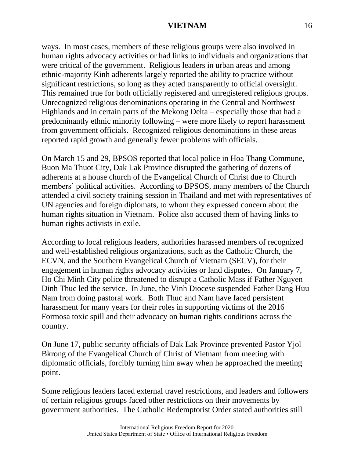ways. In most cases, members of these religious groups were also involved in human rights advocacy activities or had links to individuals and organizations that were critical of the government. Religious leaders in urban areas and among ethnic-majority Kinh adherents largely reported the ability to practice without significant restrictions, so long as they acted transparently to official oversight. This remained true for both officially registered and unregistered religious groups. Unrecognized religious denominations operating in the Central and Northwest Highlands and in certain parts of the Mekong Delta – especially those that had a predominantly ethnic minority following – were more likely to report harassment from government officials. Recognized religious denominations in these areas reported rapid growth and generally fewer problems with officials.

On March 15 and 29, BPSOS reported that local police in Hoa Thang Commune, Buon Ma Thuot City, Dak Lak Province disrupted the gathering of dozens of adherents at a house church of the Evangelical Church of Christ due to Church members' political activities. According to BPSOS, many members of the Church attended a civil society training session in Thailand and met with representatives of UN agencies and foreign diplomats, to whom they expressed concern about the human rights situation in Vietnam. Police also accused them of having links to human rights activists in exile.

According to local religious leaders, authorities harassed members of recognized and well-established religious organizations, such as the Catholic Church, the ECVN, and the Southern Evangelical Church of Vietnam (SECV), for their engagement in human rights advocacy activities or land disputes. On January 7, Ho Chi Minh City police threatened to disrupt a Catholic Mass if Father Nguyen Dinh Thuc led the service. In June, the Vinh Diocese suspended Father Dang Huu Nam from doing pastoral work. Both Thuc and Nam have faced persistent harassment for many years for their roles in supporting victims of the 2016 Formosa toxic spill and their advocacy on human rights conditions across the country.

On June 17, public security officials of Dak Lak Province prevented Pastor Yjol Bkrong of the Evangelical Church of Christ of Vietnam from meeting with diplomatic officials, forcibly turning him away when he approached the meeting point.

Some religious leaders faced external travel restrictions, and leaders and followers of certain religious groups faced other restrictions on their movements by government authorities. The Catholic Redemptorist Order stated authorities still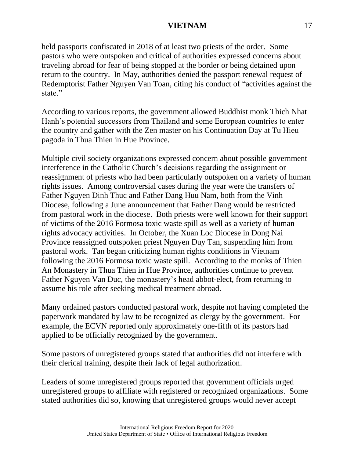held passports confiscated in 2018 of at least two priests of the order. Some pastors who were outspoken and critical of authorities expressed concerns about traveling abroad for fear of being stopped at the border or being detained upon return to the country. In May, authorities denied the passport renewal request of Redemptorist Father Nguyen Van Toan, citing his conduct of "activities against the state."

According to various reports, the government allowed Buddhist monk Thich Nhat Hanh's potential successors from Thailand and some European countries to enter the country and gather with the Zen master on his Continuation Day at Tu Hieu pagoda in Thua Thien in Hue Province.

Multiple civil society organizations expressed concern about possible government interference in the Catholic Church's decisions regarding the assignment or reassignment of priests who had been particularly outspoken on a variety of human rights issues. Among controversial cases during the year were the transfers of Father Nguyen Dinh Thuc and Father Dang Huu Nam, both from the Vinh Diocese, following a June announcement that Father Dang would be restricted from pastoral work in the diocese. Both priests were well known for their support of victims of the 2016 Formosa toxic waste spill as well as a variety of human rights advocacy activities. In October, the Xuan Loc Diocese in Dong Nai Province reassigned outspoken priest Nguyen Duy Tan, suspending him from pastoral work. Tan began criticizing human rights conditions in Vietnam following the 2016 Formosa toxic waste spill. According to the monks of Thien An Monastery in Thua Thien in Hue Province, authorities continue to prevent Father Nguyen Van Duc, the monastery's head abbot-elect, from returning to assume his role after seeking medical treatment abroad.

Many ordained pastors conducted pastoral work, despite not having completed the paperwork mandated by law to be recognized as clergy by the government. For example, the ECVN reported only approximately one-fifth of its pastors had applied to be officially recognized by the government.

Some pastors of unregistered groups stated that authorities did not interfere with their clerical training, despite their lack of legal authorization.

Leaders of some unregistered groups reported that government officials urged unregistered groups to affiliate with registered or recognized organizations. Some stated authorities did so, knowing that unregistered groups would never accept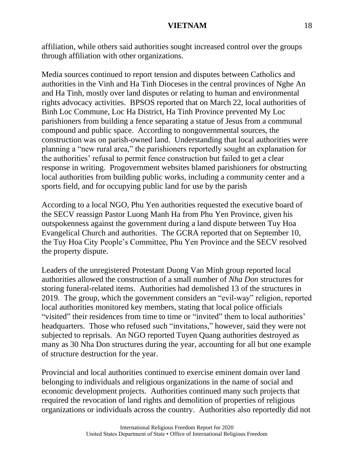affiliation, while others said authorities sought increased control over the groups through affiliation with other organizations.

Media sources continued to report tension and disputes between Catholics and authorities in the Vinh and Ha Tinh Dioceses in the central provinces of Nghe An and Ha Tinh, mostly over land disputes or relating to human and environmental rights advocacy activities. BPSOS reported that on March 22, local authorities of Binh Loc Commune, Loc Ha District, Ha Tinh Province prevented My Loc parishioners from building a fence separating a statue of Jesus from a communal compound and public space. According to nongovernmental sources, the construction was on parish-owned land. Understanding that local authorities were planning a "new rural area," the parishioners reportedly sought an explanation for the authorities' refusal to permit fence construction but failed to get a clear response in writing. Progovernment websites blamed parishioners for obstructing local authorities from building public works, including a community center and a sports field, and for occupying public land for use by the parish

According to a local NGO, Phu Yen authorities requested the executive board of the SECV reassign Pastor Luong Manh Ha from Phu Yen Province, given his outspokenness against the government during a land dispute between Tuy Hoa Evangelical Church and authorities. The GCRA reported that on September 10, the Tuy Hoa City People's Committee, Phu Yen Province and the SECV resolved the property dispute.

Leaders of the unregistered Protestant Duong Van Minh group reported local authorities allowed the construction of a small number of *Nha Don* structures for storing funeral-related items. Authorities had demolished 13 of the structures in 2019. The group, which the government considers an "evil-way" religion, reported local authorities monitored key members, stating that local police officials "visited" their residences from time to time or "invited" them to local authorities' headquarters. Those who refused such "invitations," however, said they were not subjected to reprisals. An NGO reported Tuyen Quang authorities destroyed as many as 30 Nha Don structures during the year, accounting for all but one example of structure destruction for the year.

Provincial and local authorities continued to exercise eminent domain over land belonging to individuals and religious organizations in the name of social and economic development projects. Authorities continued many such projects that required the revocation of land rights and demolition of properties of religious organizations or individuals across the country. Authorities also reportedly did not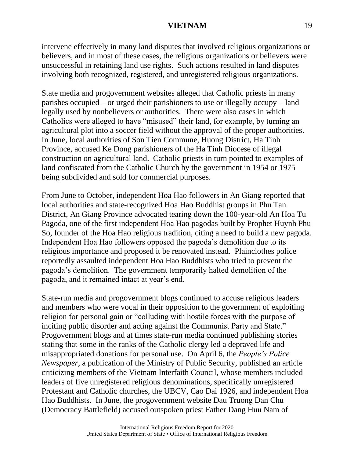intervene effectively in many land disputes that involved religious organizations or believers, and in most of these cases, the religious organizations or believers were unsuccessful in retaining land use rights. Such actions resulted in land disputes involving both recognized, registered, and unregistered religious organizations.

State media and progovernment websites alleged that Catholic priests in many parishes occupied – or urged their parishioners to use or illegally occupy – land legally used by nonbelievers or authorities. There were also cases in which Catholics were alleged to have "misused" their land, for example, by turning an agricultural plot into a soccer field without the approval of the proper authorities. In June, local authorities of Son Tien Commune, Huong District, Ha Tinh Province, accused Ke Dong parishioners of the Ha Tinh Diocese of illegal construction on agricultural land. Catholic priests in turn pointed to examples of land confiscated from the Catholic Church by the government in 1954 or 1975 being subdivided and sold for commercial purposes.

From June to October, independent Hoa Hao followers in An Giang reported that local authorities and state-recognized Hoa Hao Buddhist groups in Phu Tan District, An Giang Province advocated tearing down the 100-year-old An Hoa Tu Pagoda, one of the first independent Hoa Hao pagodas built by Prophet Huynh Phu So, founder of the Hoa Hao religious tradition, citing a need to build a new pagoda. Independent Hoa Hao followers opposed the pagoda's demolition due to its religious importance and proposed it be renovated instead. Plainclothes police reportedly assaulted independent Hoa Hao Buddhists who tried to prevent the pagoda's demolition. The government temporarily halted demolition of the pagoda, and it remained intact at year's end.

State-run media and progovernment blogs continued to accuse religious leaders and members who were vocal in their opposition to the government of exploiting religion for personal gain or "colluding with hostile forces with the purpose of inciting public disorder and acting against the Communist Party and State." Progovernment blogs and at times state-run media continued publishing stories stating that some in the ranks of the Catholic clergy led a depraved life and misappropriated donations for personal use. On April 6, the *People's Police Newspaper*, a publication of the Ministry of Public Security, published an article criticizing members of the Vietnam Interfaith Council, whose members included leaders of five unregistered religious denominations, specifically unregistered Protestant and Catholic churches, the UBCV, Cao Dai 1926, and independent Hoa Hao Buddhists. In June, the progovernment website Dau Truong Dan Chu (Democracy Battlefield) accused outspoken priest Father Dang Huu Nam of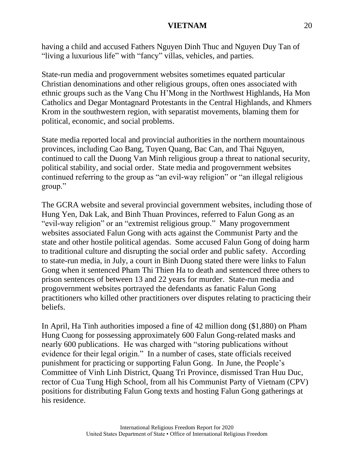having a child and accused Fathers Nguyen Dinh Thuc and Nguyen Duy Tan of "living a luxurious life" with "fancy" villas, vehicles, and parties.

State-run media and progovernment websites sometimes equated particular Christian denominations and other religious groups, often ones associated with ethnic groups such as the Vang Chu H'Mong in the Northwest Highlands, Ha Mon Catholics and Degar Montagnard Protestants in the Central Highlands, and Khmers Krom in the southwestern region, with separatist movements, blaming them for political, economic, and social problems.

State media reported local and provincial authorities in the northern mountainous provinces, including Cao Bang, Tuyen Quang, Bac Can, and Thai Nguyen, continued to call the Duong Van Minh religious group a threat to national security, political stability, and social order. State media and progovernment websites continued referring to the group as "an evil-way religion" or "an illegal religious group."

The GCRA website and several provincial government websites, including those of Hung Yen, Dak Lak, and Binh Thuan Provinces, referred to Falun Gong as an "evil-way religion" or an "extremist religious group." Many progovernment websites associated Falun Gong with acts against the Communist Party and the state and other hostile political agendas. Some accused Falun Gong of doing harm to traditional culture and disrupting the social order and public safety. According to state-run media, in July, a court in Binh Duong stated there were links to Falun Gong when it sentenced Pham Thi Thien Ha to death and sentenced three others to prison sentences of between 13 and 22 years for murder. State-run media and progovernment websites portrayed the defendants as fanatic Falun Gong practitioners who killed other practitioners over disputes relating to practicing their beliefs.

In April, Ha Tinh authorities imposed a fine of 42 million dong (\$1,880) on Pham Hung Cuong for possessing approximately 600 Falun Gong-related masks and nearly 600 publications. He was charged with "storing publications without evidence for their legal origin." In a number of cases, state officials received punishment for practicing or supporting Falun Gong. In June, the People's Committee of Vinh Linh District, Quang Tri Province, dismissed Tran Huu Duc, rector of Cua Tung High School, from all his Communist Party of Vietnam (CPV) positions for distributing Falun Gong texts and hosting Falun Gong gatherings at his residence.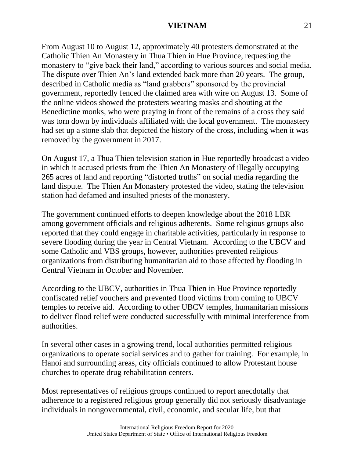From August 10 to August 12, approximately 40 protesters demonstrated at the Catholic Thien An Monastery in Thua Thien in Hue Province, requesting the monastery to "give back their land," according to various sources and social media. The dispute over Thien An's land extended back more than 20 years. The group, described in Catholic media as "land grabbers" sponsored by the provincial government, reportedly fenced the claimed area with wire on August 13. Some of the online videos showed the protesters wearing masks and shouting at the Benedictine monks, who were praying in front of the remains of a cross they said was torn down by individuals affiliated with the local government. The monastery had set up a stone slab that depicted the history of the cross, including when it was removed by the government in 2017.

On August 17, a Thua Thien television station in Hue reportedly broadcast a video in which it accused priests from the Thien An Monastery of illegally occupying 265 acres of land and reporting "distorted truths" on social media regarding the land dispute. The Thien An Monastery protested the video, stating the television station had defamed and insulted priests of the monastery.

The government continued efforts to deepen knowledge about the 2018 LBR among government officials and religious adherents. Some religious groups also reported that they could engage in charitable activities, particularly in response to severe flooding during the year in Central Vietnam. According to the UBCV and some Catholic and VBS groups, however, authorities prevented religious organizations from distributing humanitarian aid to those affected by flooding in Central Vietnam in October and November.

According to the UBCV, authorities in Thua Thien in Hue Province reportedly confiscated relief vouchers and prevented flood victims from coming to UBCV temples to receive aid. According to other UBCV temples, humanitarian missions to deliver flood relief were conducted successfully with minimal interference from authorities.

In several other cases in a growing trend, local authorities permitted religious organizations to operate social services and to gather for training. For example, in Hanoi and surrounding areas, city officials continued to allow Protestant house churches to operate drug rehabilitation centers.

Most representatives of religious groups continued to report anecdotally that adherence to a registered religious group generally did not seriously disadvantage individuals in nongovernmental, civil, economic, and secular life, but that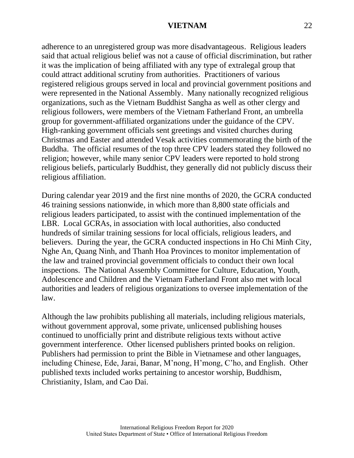adherence to an unregistered group was more disadvantageous. Religious leaders said that actual religious belief was not a cause of official discrimination, but rather it was the implication of being affiliated with any type of extralegal group that could attract additional scrutiny from authorities. Practitioners of various registered religious groups served in local and provincial government positions and were represented in the National Assembly. Many nationally recognized religious organizations, such as the Vietnam Buddhist Sangha as well as other clergy and religious followers, were members of the Vietnam Fatherland Front, an umbrella group for government-affiliated organizations under the guidance of the CPV. High-ranking government officials sent greetings and visited churches during Christmas and Easter and attended Vesak activities commemorating the birth of the Buddha. The official resumes of the top three CPV leaders stated they followed no religion; however, while many senior CPV leaders were reported to hold strong religious beliefs, particularly Buddhist, they generally did not publicly discuss their religious affiliation.

During calendar year 2019 and the first nine months of 2020, the GCRA conducted 46 training sessions nationwide, in which more than 8,800 state officials and religious leaders participated, to assist with the continued implementation of the LBR. Local GCRAs, in association with local authorities, also conducted hundreds of similar training sessions for local officials, religious leaders, and believers. During the year, the GCRA conducted inspections in Ho Chi Minh City, Nghe An, Quang Ninh, and Thanh Hoa Provinces to monitor implementation of the law and trained provincial government officials to conduct their own local inspections. The National Assembly Committee for Culture, Education, Youth, Adolescence and Children and the Vietnam Fatherland Front also met with local authorities and leaders of religious organizations to oversee implementation of the law.

Although the law prohibits publishing all materials, including religious materials, without government approval, some private, unlicensed publishing houses continued to unofficially print and distribute religious texts without active government interference. Other licensed publishers printed books on religion. Publishers had permission to print the Bible in Vietnamese and other languages, including Chinese, Ede, Jarai, Banar, M'nong, H'mong, C'ho, and English. Other published texts included works pertaining to ancestor worship, Buddhism, Christianity, Islam, and Cao Dai.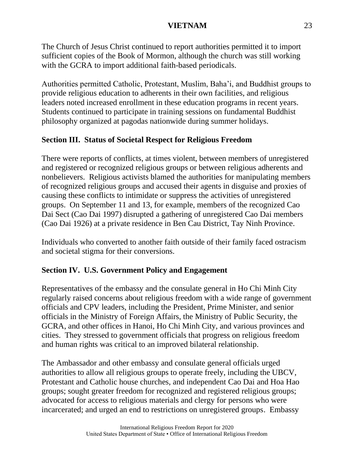The Church of Jesus Christ continued to report authorities permitted it to import sufficient copies of the Book of Mormon, although the church was still working with the GCRA to import additional faith-based periodicals.

Authorities permitted Catholic, Protestant, Muslim, Baha'i, and Buddhist groups to provide religious education to adherents in their own facilities, and religious leaders noted increased enrollment in these education programs in recent years. Students continued to participate in training sessions on fundamental Buddhist philosophy organized at pagodas nationwide during summer holidays.

# **Section III. Status of Societal Respect for Religious Freedom**

There were reports of conflicts, at times violent, between members of unregistered and registered or recognized religious groups or between religious adherents and nonbelievers. Religious activists blamed the authorities for manipulating members of recognized religious groups and accused their agents in disguise and proxies of causing these conflicts to intimidate or suppress the activities of unregistered groups. On September 11 and 13, for example, members of the recognized Cao Dai Sect (Cao Dai 1997) disrupted a gathering of unregistered Cao Dai members (Cao Dai 1926) at a private residence in Ben Cau District, Tay Ninh Province.

Individuals who converted to another faith outside of their family faced ostracism and societal stigma for their conversions.

# **Section IV. U.S. Government Policy and Engagement**

Representatives of the embassy and the consulate general in Ho Chi Minh City regularly raised concerns about religious freedom with a wide range of government officials and CPV leaders, including the President, Prime Minister, and senior officials in the Ministry of Foreign Affairs, the Ministry of Public Security, the GCRA, and other offices in Hanoi, Ho Chi Minh City, and various provinces and cities. They stressed to government officials that progress on religious freedom and human rights was critical to an improved bilateral relationship.

The Ambassador and other embassy and consulate general officials urged authorities to allow all religious groups to operate freely, including the UBCV, Protestant and Catholic house churches, and independent Cao Dai and Hoa Hao groups; sought greater freedom for recognized and registered religious groups; advocated for access to religious materials and clergy for persons who were incarcerated; and urged an end to restrictions on unregistered groups. Embassy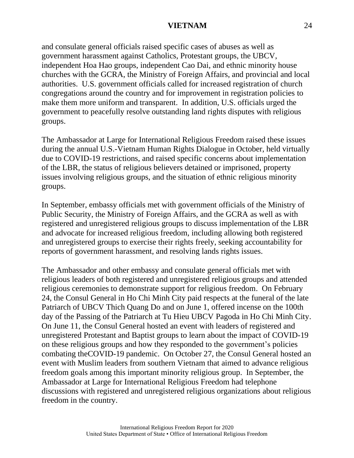and consulate general officials raised specific cases of abuses as well as government harassment against Catholics, Protestant groups, the UBCV, independent Hoa Hao groups, independent Cao Dai, and ethnic minority house churches with the GCRA, the Ministry of Foreign Affairs, and provincial and local authorities. U.S. government officials called for increased registration of church congregations around the country and for improvement in registration policies to make them more uniform and transparent. In addition, U.S. officials urged the government to peacefully resolve outstanding land rights disputes with religious groups.

The Ambassador at Large for International Religious Freedom raised these issues during the annual U.S.-Vietnam Human Rights Dialogue in October, held virtually due to COVID-19 restrictions, and raised specific concerns about implementation of the LBR, the status of religious believers detained or imprisoned, property issues involving religious groups, and the situation of ethnic religious minority groups.

In September, embassy officials met with government officials of the Ministry of Public Security, the Ministry of Foreign Affairs, and the GCRA as well as with registered and unregistered religious groups to discuss implementation of the LBR and advocate for increased religious freedom, including allowing both registered and unregistered groups to exercise their rights freely, seeking accountability for reports of government harassment, and resolving lands rights issues.

The Ambassador and other embassy and consulate general officials met with religious leaders of both registered and unregistered religious groups and attended religious ceremonies to demonstrate support for religious freedom. On February 24, the Consul General in Ho Chi Minh City paid respects at the funeral of the late Patriarch of UBCV Thich Quang Do and on June 1, offered incense on the 100th day of the Passing of the Patriarch at Tu Hieu UBCV Pagoda in Ho Chi Minh City. On June 11, the Consul General hosted an event with leaders of registered and unregistered Protestant and Baptist groups to learn about the impact of COVID-19 on these religious groups and how they responded to the government's policies combating theCOVID-19 pandemic. On October 27, the Consul General hosted an event with Muslim leaders from southern Vietnam that aimed to advance religious freedom goals among this important minority religious group. In September, the Ambassador at Large for International Religious Freedom had telephone discussions with registered and unregistered religious organizations about religious freedom in the country.